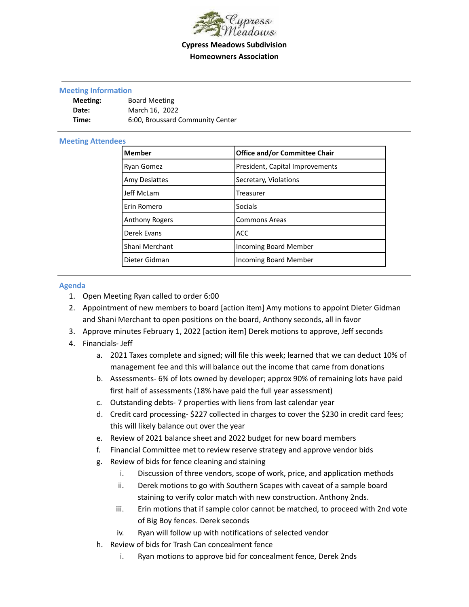

## **Cypress Meadows Subdivision Homeowners Association**

## **Meeting Information**

| Meeting: | <b>Board Meeting</b>             |
|----------|----------------------------------|
| Date:    | March 16, 2022                   |
| Time:    | 6:00, Broussard Community Center |

## **Meeting Attendees**

| <b>Member</b>         | <b>Office and/or Committee Chair</b> |
|-----------------------|--------------------------------------|
| Ryan Gomez            | President, Capital Improvements      |
| <b>Amy Deslattes</b>  | Secretary, Violations                |
| Jeff McLam            | Treasurer                            |
| Erin Romero           | <b>Socials</b>                       |
| <b>Anthony Rogers</b> | <b>Commons Areas</b>                 |
| Derek Evans           | <b>ACC</b>                           |
| Shani Merchant        | Incoming Board Member                |
| Dieter Gidman         | <b>Incoming Board Member</b>         |

## **Agenda**

- 1. Open Meeting Ryan called to order 6:00
- 2. Appointment of new members to board [action item] Amy motions to appoint Dieter Gidman and Shani Merchant to open positions on the board, Anthony seconds, all in favor
- 3. Approve minutes February 1, 2022 [action item] Derek motions to approve, Jeff seconds
- 4. Financials- Jeff
	- a. 2021 Taxes complete and signed; will file this week; learned that we can deduct 10% of management fee and this will balance out the income that came from donations
	- b. Assessments- 6% of lots owned by developer; approx 90% of remaining lots have paid first half of assessments (18% have paid the full year assessment)
	- c. Outstanding debts- 7 properties with liens from last calendar year
	- d. Credit card processing- \$227 collected in charges to cover the \$230 in credit card fees; this will likely balance out over the year
	- e. Review of 2021 balance sheet and 2022 budget for new board members
	- f. Financial Committee met to review reserve strategy and approve vendor bids
	- g. Review of bids for fence cleaning and staining
		- i. Discussion of three vendors, scope of work, price, and application methods
		- ii. Derek motions to go with Southern Scapes with caveat of a sample board staining to verify color match with new construction. Anthony 2nds.
		- iii. Erin motions that if sample color cannot be matched, to proceed with 2nd vote of Big Boy fences. Derek seconds
		- iv. Ryan will follow up with notifications of selected vendor
	- h. Review of bids for Trash Can concealment fence
		- i. Ryan motions to approve bid for concealment fence, Derek 2nds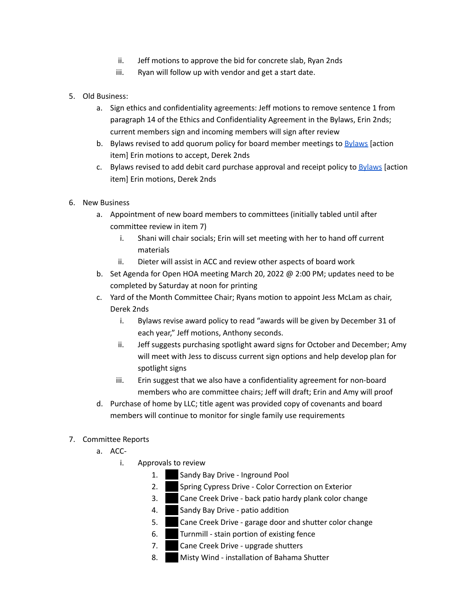- ii. Jeff motions to approve the bid for concrete slab, Ryan 2nds
- iii. Ryan will follow up with vendor and get a start date.
- 5. Old Business:
	- a. Sign ethics and confidentiality agreements: Jeff motions to remove sentence 1 from paragraph 14 of the Ethics and Confidentiality Agreement in the Bylaws, Erin 2nds; current members sign and incoming members will sign after review
	- b. [Bylaws](https://docs.google.com/document/d/1hK-DXIxsH3JHYlxSn0Xzm43GFlaeAxkyI9_gf7UNIPc/edit#bookmark=id.ka1is2wy1ymn) revised to add quorum policy for board member meetings to Bylaws [action item] Erin motions to accept, Derek 2nds
	- c. [Bylaws](https://docs.google.com/document/d/1hK-DXIxsH3JHYlxSn0Xzm43GFlaeAxkyI9_gf7UNIPc/edit#bookmark=id.ben4plqcesks) revised to add debit card purchase approval and receipt policy to **Bylaws** [action] item] Erin motions, Derek 2nds
- 6. New Business
	- a. Appointment of new board members to committees (initially tabled until after committee review in item 7)
		- i. Shani will chair socials; Erin will set meeting with her to hand off current materials
		- ii. Dieter will assist in ACC and review other aspects of board work
	- b. Set Agenda for Open HOA meeting March 20, 2022 @ 2:00 PM; updates need to be completed by Saturday at noon for printing
	- c. Yard of the Month Committee Chair; Ryans motion to appoint Jess McLam as chair, Derek 2nds
		- i. Bylaws revise award policy to read "awards will be given by December 31 of each year," Jeff motions, Anthony seconds.
		- ii. Jeff suggests purchasing spotlight award signs for October and December; Amy will meet with Jess to discuss current sign options and help develop plan for spotlight signs
		- iii. Erin suggest that we also have a confidentiality agreement for non-board members who are committee chairs; Jeff will draft; Erin and Amy will proof
	- d. Purchase of home by LLC; title agent was provided copy of covenants and board members will continue to monitor for single family use requirements
- 7. Committee Reports
	- a. ACC
		- i. Approvals to review
			- 1. Sandy Bay Drive Inground Pool
			- 2. Spring Cypress Drive Color Correction on Exterior
			- 3. Cane Creek Drive back patio hardy plank color change
			- 4. Sandy Bay Drive patio addition
			- 5. Cane Creek Drive garage door and shutter color change
			- $6.$  Turnmill stain portion of existing fence
			- 7. Cane Creek Drive upgrade shutters
			- 8. Misty Wind installation of Bahama Shutter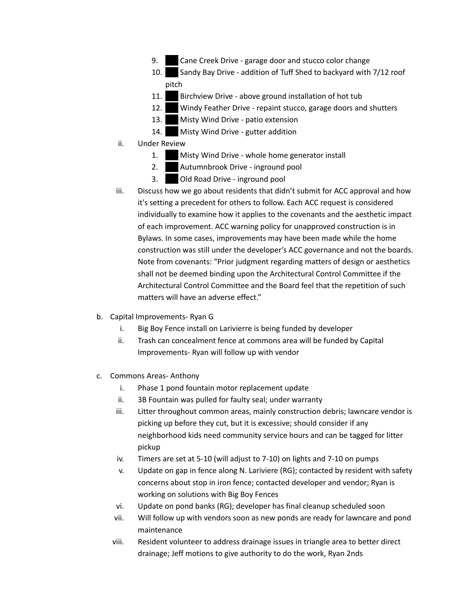- 9. **207 Cane Creek Drive garage door and stucco color change**
- 10. Sandy Bay Drive addition of Tuff Shed to backyard with 7/12 roof pitch
- 11. Birchview Drive above ground installation of hot tub
- 12. Windy Feather Drive repaint stucco, garage doors and shutters
- 13. Misty Wind Drive patio extension
- 14. Misty Wind Drive gutter addition
- ii. Under Review
	- 1. Misty Wind Drive whole home generator install
	- 2. Autumnbrook Drive inground pool
	- 3. **203 Old Road Drive inground pool**
- iii. Discuss how we go about residents that didn't submit for ACC approval and how it's setting a precedent for others to follow. Each ACC request is considered individually to examine how it applies to the covenants and the aesthetic impact of each improvement. ACC warning policy for unapproved construction is in Bylaws. In some cases, improvements may have been made while the home construction was still under the developer's ACC governance and not the boards. Note from covenants: "Prior judgment regarding matters of design or aesthetics shall not be deemed binding upon the Architectural Control Committee if the Architectural Control Committee and the Board feel that the repetition of such matters will have an adverse effect."
- b. Capital Improvements- Ryan G
	- i. Big Boy Fence install on Larivierre is being funded by developer
	- ii. Trash can concealment fence at commons area will be funded by Capital Improvements- Ryan will follow up with vendor
- c. Commons Areas- Anthony
	- i. Phase 1 pond fountain motor replacement update
	- ii. 3B Fountain was pulled for faulty seal; under warranty
	- iii. Litter throughout common areas, mainly construction debris; lawncare vendor is picking up before they cut, but it is excessive; should consider if any neighborhood kids need community service hours and can be tagged for litter pickup
	- iv. Timers are set at 5-10 (will adjust to 7-10) on lights and 7-10 on pumps
	- v. Update on gap in fence along N. Lariviere (RG); contacted by resident with safety concerns about stop in iron fence; contacted developer and vendor; Ryan is working on solutions with Big Boy Fences
	- vi. Update on pond banks (RG); developer has final cleanup scheduled soon
	- vii. Will follow up with vendors soon as new ponds are ready for lawncare and pond maintenance
	- viii. Resident volunteer to address drainage issues in triangle area to better direct drainage; Jeff motions to give authority to do the work, Ryan 2nds